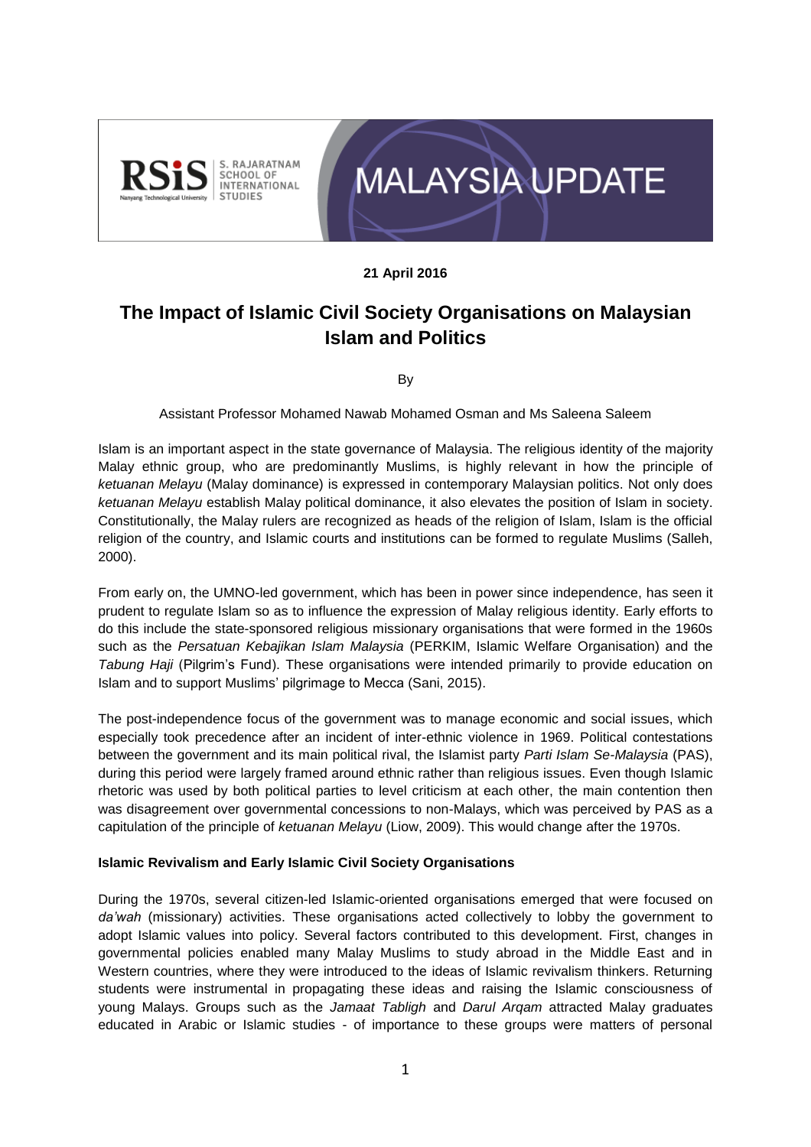



#### **21 April 2016**

# **The Impact of Islamic Civil Society Organisations on Malaysian Islam and Politics**

By

Assistant Professor Mohamed Nawab Mohamed Osman and Ms Saleena Saleem

Islam is an important aspect in the state governance of Malaysia. The religious identity of the majority Malay ethnic group, who are predominantly Muslims, is highly relevant in how the principle of *ketuanan Melayu* (Malay dominance) is expressed in contemporary Malaysian politics. Not only does *ketuanan Melayu* establish Malay political dominance, it also elevates the position of Islam in society. Constitutionally, the Malay rulers are recognized as heads of the religion of Islam, Islam is the official religion of the country, and Islamic courts and institutions can be formed to regulate Muslims (Salleh, 2000).

From early on, the UMNO-led government, which has been in power since independence, has seen it prudent to regulate Islam so as to influence the expression of Malay religious identity. Early efforts to do this include the state-sponsored religious missionary organisations that were formed in the 1960s such as the *Persatuan Kebajikan Islam Malaysia* (PERKIM, Islamic Welfare Organisation) and the *Tabung Haji* (Pilgrim's Fund). These organisations were intended primarily to provide education on Islam and to support Muslims' pilgrimage to Mecca (Sani, 2015).

The post-independence focus of the government was to manage economic and social issues, which especially took precedence after an incident of inter-ethnic violence in 1969. Political contestations between the government and its main political rival, the Islamist party *Parti Islam Se-Malaysia* (PAS), during this period were largely framed around ethnic rather than religious issues. Even though Islamic rhetoric was used by both political parties to level criticism at each other, the main contention then was disagreement over governmental concessions to non-Malays, which was perceived by PAS as a capitulation of the principle of *ketuanan Melayu* (Liow, 2009). This would change after the 1970s.

#### **Islamic Revivalism and Early Islamic Civil Society Organisations**

During the 1970s, several citizen-led Islamic-oriented organisations emerged that were focused on *da'wah* (missionary) activities. These organisations acted collectively to lobby the government to adopt Islamic values into policy. Several factors contributed to this development. First, changes in governmental policies enabled many Malay Muslims to study abroad in the Middle East and in Western countries, where they were introduced to the ideas of Islamic revivalism thinkers. Returning students were instrumental in propagating these ideas and raising the Islamic consciousness of young Malays. Groups such as the *Jamaat Tabligh* and *Darul Arqam* attracted Malay graduates educated in Arabic or Islamic studies - of importance to these groups were matters of personal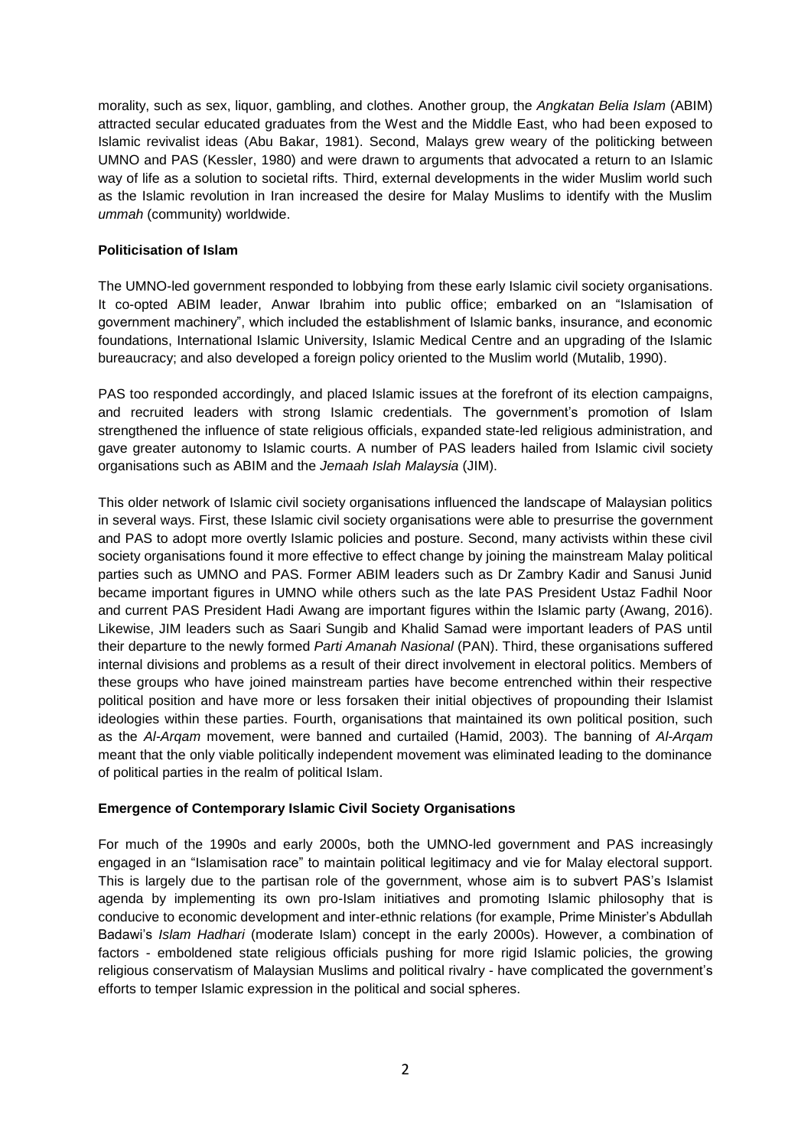morality, such as sex, liquor, gambling, and clothes. Another group, the *Angkatan Belia Islam* (ABIM) attracted secular educated graduates from the West and the Middle East, who had been exposed to Islamic revivalist ideas (Abu Bakar, 1981). Second, Malays grew weary of the politicking between UMNO and PAS (Kessler, 1980) and were drawn to arguments that advocated a return to an Islamic way of life as a solution to societal rifts. Third, external developments in the wider Muslim world such as the Islamic revolution in Iran increased the desire for Malay Muslims to identify with the Muslim *ummah* (community) worldwide.

## **Politicisation of Islam**

The UMNO-led government responded to lobbying from these early Islamic civil society organisations. It co-opted ABIM leader, Anwar Ibrahim into public office; embarked on an "Islamisation of government machinery", which included the establishment of Islamic banks, insurance, and economic foundations, International Islamic University, Islamic Medical Centre and an upgrading of the Islamic bureaucracy; and also developed a foreign policy oriented to the Muslim world (Mutalib, 1990).

PAS too responded accordingly, and placed Islamic issues at the forefront of its election campaigns, and recruited leaders with strong Islamic credentials. The government's promotion of Islam strengthened the influence of state religious officials, expanded state-led religious administration, and gave greater autonomy to Islamic courts. A number of PAS leaders hailed from Islamic civil society organisations such as ABIM and the *Jemaah Islah Malaysia* (JIM).

This older network of Islamic civil society organisations influenced the landscape of Malaysian politics in several ways. First, these Islamic civil society organisations were able to presurrise the government and PAS to adopt more overtly Islamic policies and posture. Second, many activists within these civil society organisations found it more effective to effect change by joining the mainstream Malay political parties such as UMNO and PAS. Former ABIM leaders such as Dr Zambry Kadir and Sanusi Junid became important figures in UMNO while others such as the late PAS President Ustaz Fadhil Noor and current PAS President Hadi Awang are important figures within the Islamic party (Awang, 2016). Likewise, JIM leaders such as Saari Sungib and Khalid Samad were important leaders of PAS until their departure to the newly formed *Parti Amanah Nasional* (PAN). Third, these organisations suffered internal divisions and problems as a result of their direct involvement in electoral politics. Members of these groups who have joined mainstream parties have become entrenched within their respective political position and have more or less forsaken their initial objectives of propounding their Islamist ideologies within these parties. Fourth, organisations that maintained its own political position, such as the *Al-Arqam* movement, were banned and curtailed (Hamid, 2003). The banning of *Al-Arqam* meant that the only viable politically independent movement was eliminated leading to the dominance of political parties in the realm of political Islam.

## **Emergence of Contemporary Islamic Civil Society Organisations**

For much of the 1990s and early 2000s, both the UMNO-led government and PAS increasingly engaged in an "Islamisation race" to maintain political legitimacy and vie for Malay electoral support. This is largely due to the partisan role of the government, whose aim is to subvert PAS's Islamist agenda by implementing its own pro-Islam initiatives and promoting Islamic philosophy that is conducive to economic development and inter-ethnic relations (for example, Prime Minister's Abdullah Badawi's *Islam Hadhari* (moderate Islam) concept in the early 2000s). However, a combination of factors - emboldened state religious officials pushing for more rigid Islamic policies, the growing religious conservatism of Malaysian Muslims and political rivalry - have complicated the government's efforts to temper Islamic expression in the political and social spheres.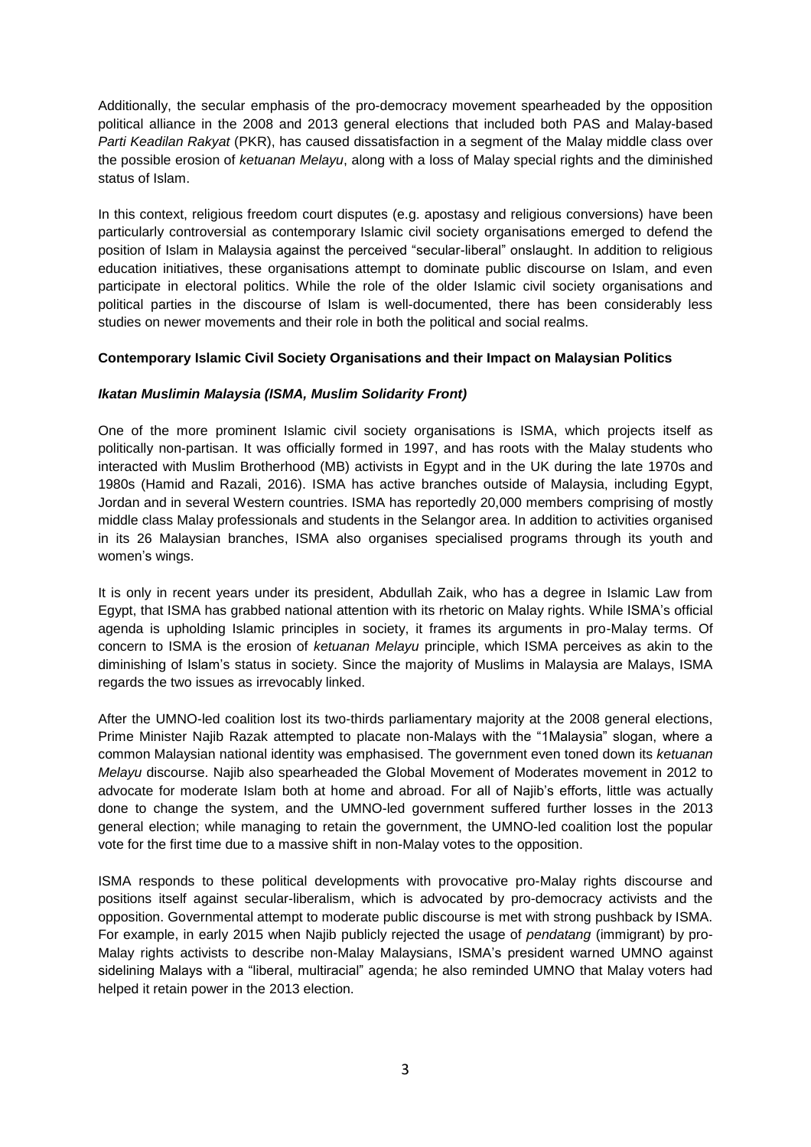Additionally, the secular emphasis of the pro-democracy movement spearheaded by the opposition political alliance in the 2008 and 2013 general elections that included both PAS and Malay-based *Parti Keadilan Rakyat* (PKR), has caused dissatisfaction in a segment of the Malay middle class over the possible erosion of *ketuanan Melayu*, along with a loss of Malay special rights and the diminished status of Islam.

In this context, religious freedom court disputes (e.g. apostasy and religious conversions) have been particularly controversial as contemporary Islamic civil society organisations emerged to defend the position of Islam in Malaysia against the perceived "secular-liberal" onslaught. In addition to religious education initiatives, these organisations attempt to dominate public discourse on Islam, and even participate in electoral politics. While the role of the older Islamic civil society organisations and political parties in the discourse of Islam is well-documented, there has been considerably less studies on newer movements and their role in both the political and social realms.

## **Contemporary Islamic Civil Society Organisations and their Impact on Malaysian Politics**

#### *Ikatan Muslimin Malaysia (ISMA, Muslim Solidarity Front)*

One of the more prominent Islamic civil society organisations is ISMA, which projects itself as politically non-partisan. It was officially formed in 1997, and has roots with the Malay students who interacted with Muslim Brotherhood (MB) activists in Egypt and in the UK during the late 1970s and 1980s (Hamid and Razali, 2016). ISMA has active branches outside of Malaysia, including Egypt, Jordan and in several Western countries. ISMA has reportedly 20,000 members comprising of mostly middle class Malay professionals and students in the Selangor area. In addition to activities organised in its 26 Malaysian branches, ISMA also organises specialised programs through its youth and women's wings.

It is only in recent years under its president, Abdullah Zaik, who has a degree in Islamic Law from Egypt, that ISMA has grabbed national attention with its rhetoric on Malay rights. While ISMA's official agenda is upholding Islamic principles in society, it frames its arguments in pro-Malay terms. Of concern to ISMA is the erosion of *ketuanan Melayu* principle, which ISMA perceives as akin to the diminishing of Islam's status in society. Since the majority of Muslims in Malaysia are Malays, ISMA regards the two issues as irrevocably linked.

After the UMNO-led coalition lost its two-thirds parliamentary majority at the 2008 general elections, Prime Minister Najib Razak attempted to placate non-Malays with the "1Malaysia" slogan, where a common Malaysian national identity was emphasised. The government even toned down its *ketuanan Melayu* discourse. Najib also spearheaded the Global Movement of Moderates movement in 2012 to advocate for moderate Islam both at home and abroad. For all of Najib's efforts, little was actually done to change the system, and the UMNO-led government suffered further losses in the 2013 general election; while managing to retain the government, the UMNO-led coalition lost the popular vote for the first time due to a massive shift in non-Malay votes to the opposition.

ISMA responds to these political developments with provocative pro-Malay rights discourse and positions itself against secular-liberalism, which is advocated by pro-democracy activists and the opposition. Governmental attempt to moderate public discourse is met with strong pushback by ISMA. For example, in early 2015 when Najib publicly rejected the usage of *pendatang* (immigrant) by pro-Malay rights activists to describe non-Malay Malaysians, ISMA's president warned UMNO against sidelining Malays with a "liberal, multiracial" agenda; he also reminded UMNO that Malay voters had helped it retain power in the 2013 election.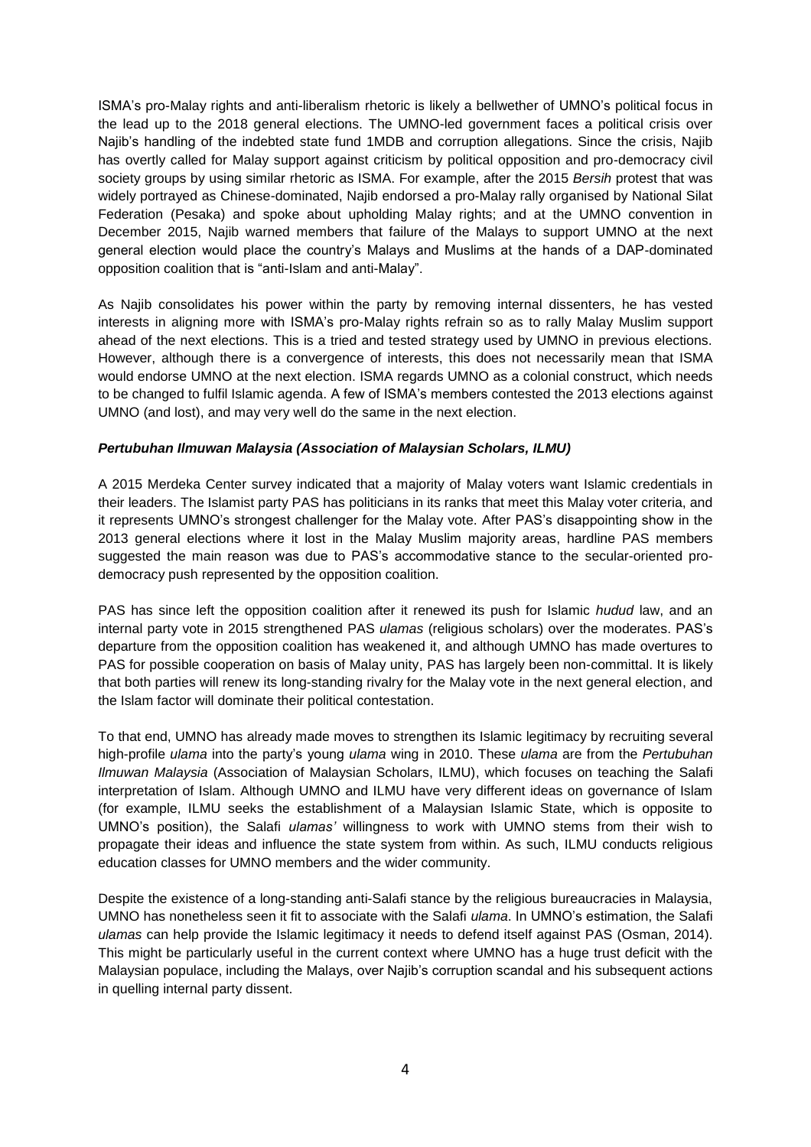ISMA's pro-Malay rights and anti-liberalism rhetoric is likely a bellwether of UMNO's political focus in the lead up to the 2018 general elections. The UMNO-led government faces a political crisis over Najib's handling of the indebted state fund 1MDB and corruption allegations. Since the crisis, Najib has overtly called for Malay support against criticism by political opposition and pro-democracy civil society groups by using similar rhetoric as ISMA. For example, after the 2015 *Bersih* protest that was widely portrayed as Chinese-dominated, Najib endorsed a pro-Malay rally organised by National Silat Federation (Pesaka) and spoke about upholding Malay rights; and at the UMNO convention in December 2015, Najib warned members that failure of the Malays to support UMNO at the next general election would place the country's Malays and Muslims at the hands of a DAP-dominated opposition coalition that is "anti-Islam and anti-Malay".

As Najib consolidates his power within the party by removing internal dissenters, he has vested interests in aligning more with ISMA's pro-Malay rights refrain so as to rally Malay Muslim support ahead of the next elections. This is a tried and tested strategy used by UMNO in previous elections. However, although there is a convergence of interests, this does not necessarily mean that ISMA would endorse UMNO at the next election. ISMA regards UMNO as a colonial construct, which needs to be changed to fulfil Islamic agenda. A few of ISMA's members contested the 2013 elections against UMNO (and lost), and may very well do the same in the next election.

## *Pertubuhan Ilmuwan Malaysia (Association of Malaysian Scholars, ILMU)*

A 2015 Merdeka Center survey indicated that a majority of Malay voters want Islamic credentials in their leaders. The Islamist party PAS has politicians in its ranks that meet this Malay voter criteria, and it represents UMNO's strongest challenger for the Malay vote. After PAS's disappointing show in the 2013 general elections where it lost in the Malay Muslim majority areas, hardline PAS members suggested the main reason was due to PAS's accommodative stance to the secular-oriented prodemocracy push represented by the opposition coalition.

PAS has since left the opposition coalition after it renewed its push for Islamic *hudud* law, and an internal party vote in 2015 strengthened PAS *ulamas* (religious scholars) over the moderates. PAS's departure from the opposition coalition has weakened it, and although UMNO has made overtures to PAS for possible cooperation on basis of Malay unity, PAS has largely been non-committal. It is likely that both parties will renew its long-standing rivalry for the Malay vote in the next general election, and the Islam factor will dominate their political contestation.

To that end, UMNO has already made moves to strengthen its Islamic legitimacy by recruiting several high-profile *ulama* into the party's young *ulama* wing in 2010. These *ulama* are from the *Pertubuhan Ilmuwan Malaysia* (Association of Malaysian Scholars, ILMU), which focuses on teaching the Salafi interpretation of Islam. Although UMNO and ILMU have very different ideas on governance of Islam (for example, ILMU seeks the establishment of a Malaysian Islamic State, which is opposite to UMNO's position), the Salafi *ulamas'* willingness to work with UMNO stems from their wish to propagate their ideas and influence the state system from within. As such, ILMU conducts religious education classes for UMNO members and the wider community.

Despite the existence of a long-standing anti-Salafi stance by the religious bureaucracies in Malaysia, UMNO has nonetheless seen it fit to associate with the Salafi *ulama*. In UMNO's estimation, the Salafi *ulamas* can help provide the Islamic legitimacy it needs to defend itself against PAS (Osman, 2014). This might be particularly useful in the current context where UMNO has a huge trust deficit with the Malaysian populace, including the Malays, over Najib's corruption scandal and his subsequent actions in quelling internal party dissent.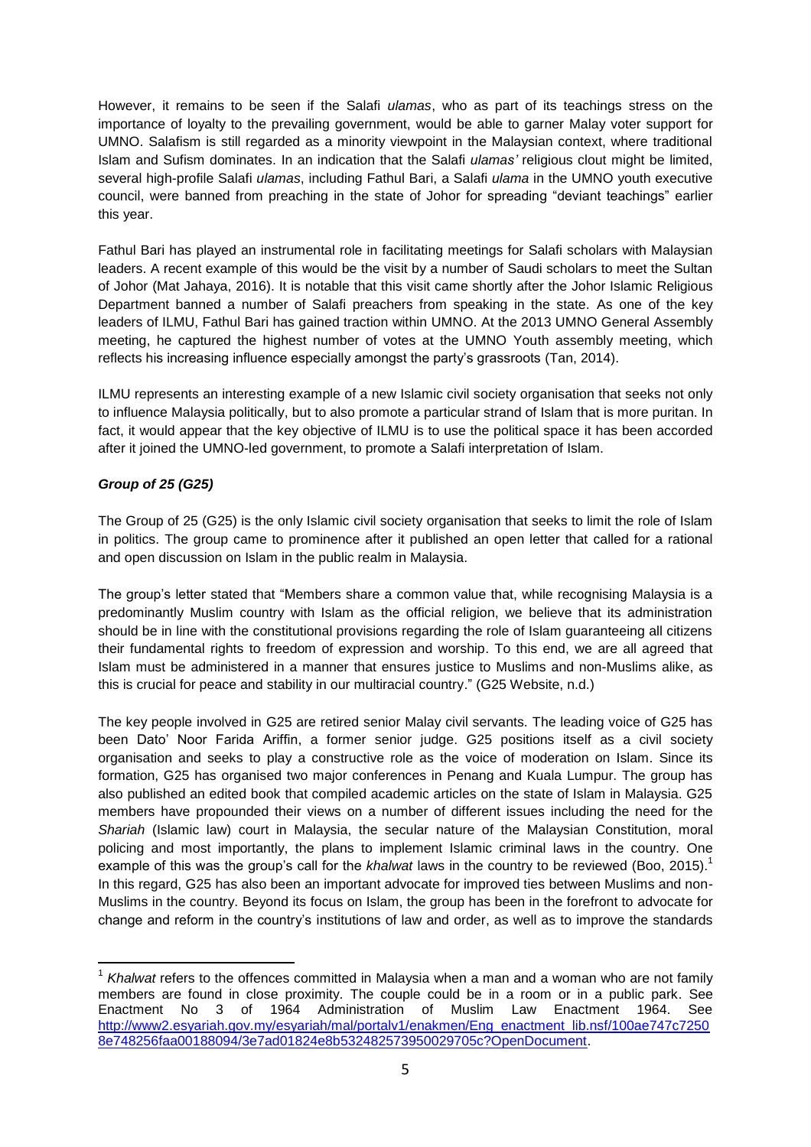However, it remains to be seen if the Salafi *ulamas*, who as part of its teachings stress on the importance of loyalty to the prevailing government, would be able to garner Malay voter support for UMNO. Salafism is still regarded as a minority viewpoint in the Malaysian context, where traditional Islam and Sufism dominates. In an indication that the Salafi *ulamas'* religious clout might be limited, several high-profile Salafi *ulamas*, including Fathul Bari, a Salafi *ulama* in the UMNO youth executive council, were banned from preaching in the state of Johor for spreading "deviant teachings" earlier this year.

Fathul Bari has played an instrumental role in facilitating meetings for Salafi scholars with Malaysian leaders. A recent example of this would be the visit by a number of Saudi scholars to meet the Sultan of Johor (Mat Jahaya, 2016). It is notable that this visit came shortly after the Johor Islamic Religious Department banned a number of Salafi preachers from speaking in the state. As one of the key leaders of ILMU, Fathul Bari has gained traction within UMNO. At the 2013 UMNO General Assembly meeting, he captured the highest number of votes at the UMNO Youth assembly meeting, which reflects his increasing influence especially amongst the party's grassroots (Tan, 2014).

ILMU represents an interesting example of a new Islamic civil society organisation that seeks not only to influence Malaysia politically, but to also promote a particular strand of Islam that is more puritan. In fact, it would appear that the key objective of ILMU is to use the political space it has been accorded after it joined the UMNO-led government, to promote a Salafi interpretation of Islam.

## *Group of 25 (G25)*

 $\overline{\phantom{a}}$ 

The Group of 25 (G25) is the only Islamic civil society organisation that seeks to limit the role of Islam in politics. The group came to prominence after it published an open letter that called for a rational and open discussion on Islam in the public realm in Malaysia.

The group's letter stated that "Members share a common value that, while recognising Malaysia is a predominantly Muslim country with Islam as the official religion, we believe that its administration should be in line with the constitutional provisions regarding the role of Islam guaranteeing all citizens their fundamental rights to freedom of expression and worship. To this end, we are all agreed that Islam must be administered in a manner that ensures justice to Muslims and non-Muslims alike, as this is crucial for peace and stability in our multiracial country." (G25 Website, n.d.)

The key people involved in G25 are retired senior Malay civil servants. The leading voice of G25 has been Dato' Noor Farida Ariffin, a former senior judge. G25 positions itself as a civil society organisation and seeks to play a constructive role as the voice of moderation on Islam. Since its formation, G25 has organised two major conferences in Penang and Kuala Lumpur. The group has also published an edited book that compiled academic articles on the state of Islam in Malaysia. G25 members have propounded their views on a number of different issues including the need for the *Shariah* (Islamic law) court in Malaysia, the secular nature of the Malaysian Constitution, moral policing and most importantly, the plans to implement Islamic criminal laws in the country. One example of this was the group's call for the *khalwat* laws in the country to be reviewed (Boo, 2015). 1 In this regard, G25 has also been an important advocate for improved ties between Muslims and non-Muslims in the country. Beyond its focus on Islam, the group has been in the forefront to advocate for change and reform in the country's institutions of law and order, as well as to improve the standards

<sup>&</sup>lt;sup>1</sup> Khalwat refers to the offences committed in Malaysia when a man and a woman who are not family members are found in close proximity. The couple could be in a room or in a public park. See Enactment No 3 of 1964 Administration of Muslim Law Enactment 1964. See [http://www2.esyariah.gov.my/esyariah/mal/portalv1/enakmen/Eng\\_enactment\\_lib.nsf/100ae747c7250](http://www2.esyariah.gov.my/esyariah/mal/portalv1/enakmen/Eng_enactment_lib.nsf/100ae747c72508e748256faa00188094/3e7ad01824e8b532482573950029705c?OpenDocument) [8e748256faa00188094/3e7ad01824e8b532482573950029705c?OpenDocument.](http://www2.esyariah.gov.my/esyariah/mal/portalv1/enakmen/Eng_enactment_lib.nsf/100ae747c72508e748256faa00188094/3e7ad01824e8b532482573950029705c?OpenDocument)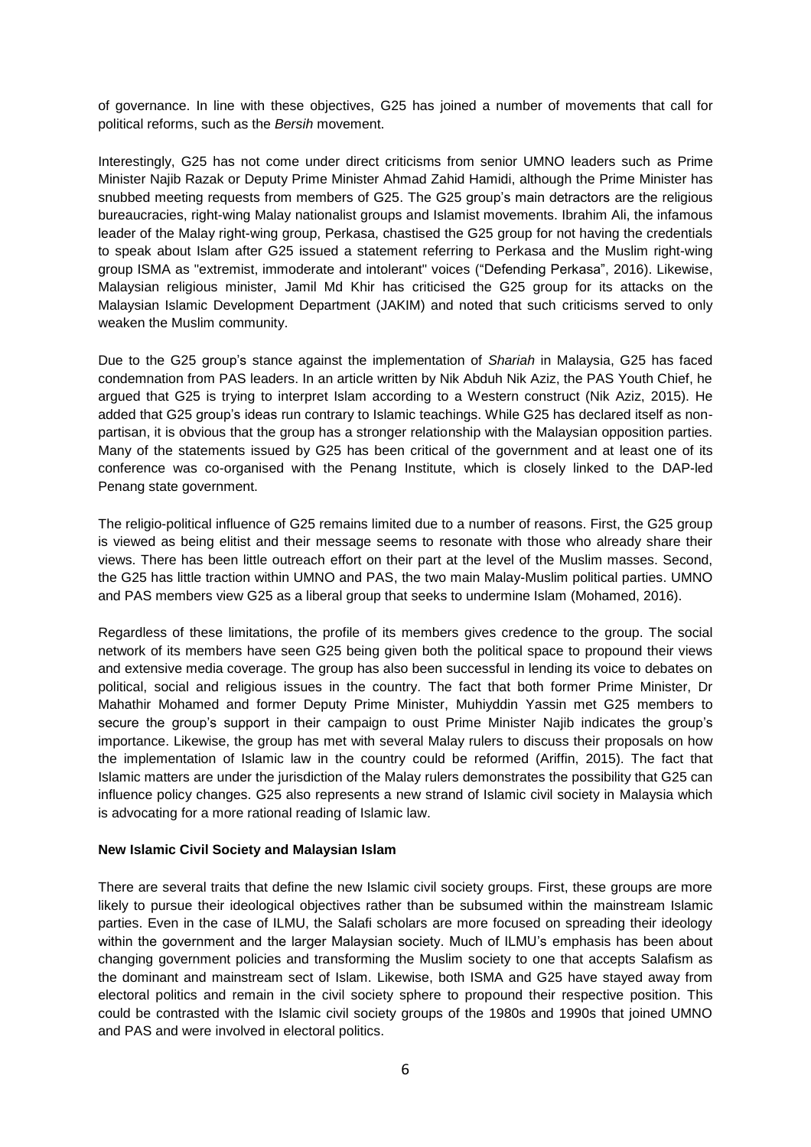of governance. In line with these objectives, G25 has joined a number of movements that call for political reforms, such as the *Bersih* movement.

Interestingly, G25 has not come under direct criticisms from senior UMNO leaders such as Prime Minister Najib Razak or Deputy Prime Minister Ahmad Zahid Hamidi, although the Prime Minister has snubbed meeting requests from members of G25. The G25 group's main detractors are the religious bureaucracies, right-wing Malay nationalist groups and Islamist movements. Ibrahim Ali, the infamous leader of the Malay right-wing group, Perkasa, chastised the G25 group for not having the credentials to speak about Islam after G25 issued a statement referring to Perkasa and the Muslim right-wing group ISMA as "extremist, immoderate and intolerant" voices ("Defending Perkasa", 2016). Likewise, Malaysian religious minister, Jamil Md Khir has criticised the G25 group for its attacks on the Malaysian Islamic Development Department (JAKIM) and noted that such criticisms served to only weaken the Muslim community.

Due to the G25 group's stance against the implementation of *Shariah* in Malaysia, G25 has faced condemnation from PAS leaders. In an article written by Nik Abduh Nik Aziz, the PAS Youth Chief, he argued that G25 is trying to interpret Islam according to a Western construct (Nik Aziz, 2015). He added that G25 group's ideas run contrary to Islamic teachings. While G25 has declared itself as nonpartisan, it is obvious that the group has a stronger relationship with the Malaysian opposition parties. Many of the statements issued by G25 has been critical of the government and at least one of its conference was co-organised with the Penang Institute, which is closely linked to the DAP-led Penang state government.

The religio-political influence of G25 remains limited due to a number of reasons. First, the G25 group is viewed as being elitist and their message seems to resonate with those who already share their views. There has been little outreach effort on their part at the level of the Muslim masses. Second, the G25 has little traction within UMNO and PAS, the two main Malay-Muslim political parties. UMNO and PAS members view G25 as a liberal group that seeks to undermine Islam (Mohamed, 2016).

Regardless of these limitations, the profile of its members gives credence to the group. The social network of its members have seen G25 being given both the political space to propound their views and extensive media coverage. The group has also been successful in lending its voice to debates on political, social and religious issues in the country. The fact that both former Prime Minister, Dr Mahathir Mohamed and former Deputy Prime Minister, Muhiyddin Yassin met G25 members to secure the group's support in their campaign to oust Prime Minister Najib indicates the group's importance. Likewise, the group has met with several Malay rulers to discuss their proposals on how the implementation of Islamic law in the country could be reformed (Ariffin, 2015). The fact that Islamic matters are under the jurisdiction of the Malay rulers demonstrates the possibility that G25 can influence policy changes. G25 also represents a new strand of Islamic civil society in Malaysia which is advocating for a more rational reading of Islamic law.

#### **New Islamic Civil Society and Malaysian Islam**

There are several traits that define the new Islamic civil society groups. First, these groups are more likely to pursue their ideological objectives rather than be subsumed within the mainstream Islamic parties. Even in the case of ILMU, the Salafi scholars are more focused on spreading their ideology within the government and the larger Malaysian society. Much of ILMU's emphasis has been about changing government policies and transforming the Muslim society to one that accepts Salafism as the dominant and mainstream sect of Islam. Likewise, both ISMA and G25 have stayed away from electoral politics and remain in the civil society sphere to propound their respective position. This could be contrasted with the Islamic civil society groups of the 1980s and 1990s that joined UMNO and PAS and were involved in electoral politics.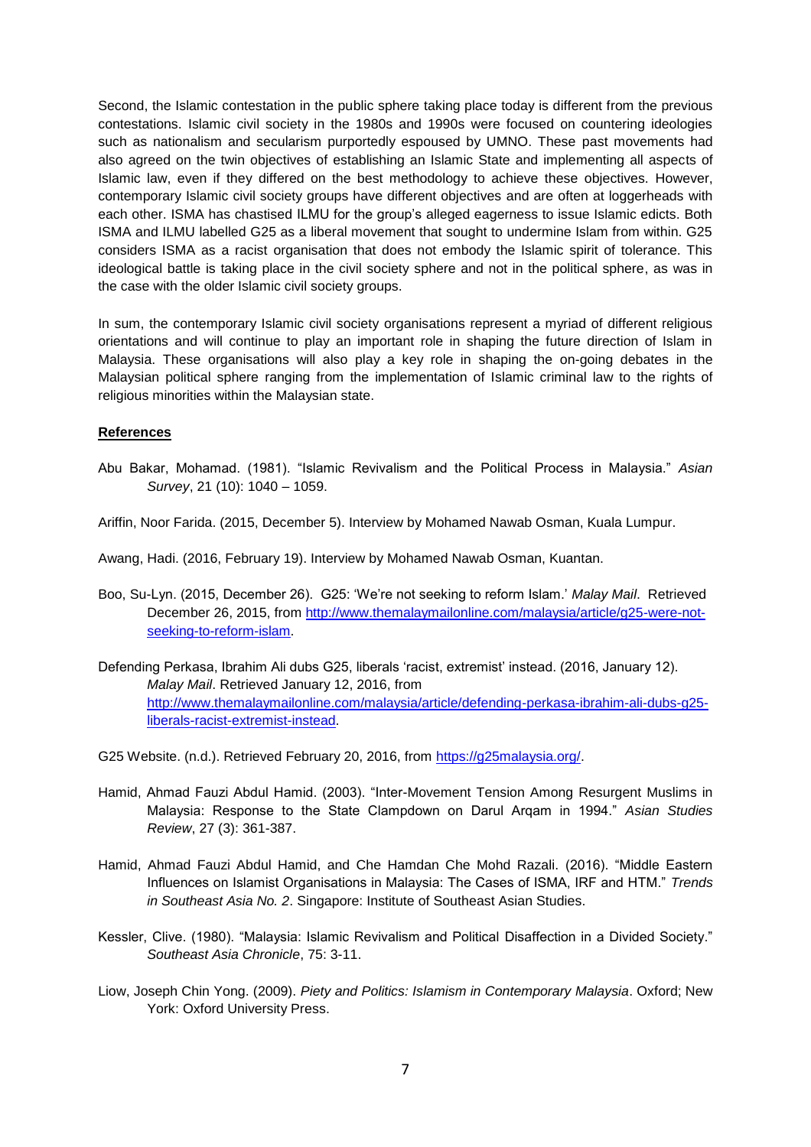Second, the Islamic contestation in the public sphere taking place today is different from the previous contestations. Islamic civil society in the 1980s and 1990s were focused on countering ideologies such as nationalism and secularism purportedly espoused by UMNO. These past movements had also agreed on the twin objectives of establishing an Islamic State and implementing all aspects of Islamic law, even if they differed on the best methodology to achieve these objectives. However, contemporary Islamic civil society groups have different objectives and are often at loggerheads with each other. ISMA has chastised ILMU for the group's alleged eagerness to issue Islamic edicts. Both ISMA and ILMU labelled G25 as a liberal movement that sought to undermine Islam from within. G25 considers ISMA as a racist organisation that does not embody the Islamic spirit of tolerance. This ideological battle is taking place in the civil society sphere and not in the political sphere, as was in the case with the older Islamic civil society groups.

In sum, the contemporary Islamic civil society organisations represent a myriad of different religious orientations and will continue to play an important role in shaping the future direction of Islam in Malaysia. These organisations will also play a key role in shaping the on-going debates in the Malaysian political sphere ranging from the implementation of Islamic criminal law to the rights of religious minorities within the Malaysian state.

#### **References**

- Abu Bakar, Mohamad. (1981). "Islamic Revivalism and the Political Process in Malaysia." *Asian Survey*, 21 (10): 1040 – 1059.
- Ariffin, Noor Farida. (2015, December 5). Interview by Mohamed Nawab Osman, Kuala Lumpur.

Awang, Hadi. (2016, February 19). Interview by Mohamed Nawab Osman, Kuantan.

- Boo, Su-Lyn. (2015, December 26). G25: 'We're not seeking to reform Islam.' *Malay Mail*. Retrieved December 26, 2015, from [http://www.themalaymailonline.com/malaysia/article/g25-were-not](http://www.themalaymailonline.com/malaysia/article/g25-were-not-seeking-to-reform-islam)[seeking-to-reform-islam.](http://www.themalaymailonline.com/malaysia/article/g25-were-not-seeking-to-reform-islam)
- Defending Perkasa, Ibrahim Ali dubs G25, liberals 'racist, extremist' instead. (2016, January 12). *Malay Mail*. Retrieved January 12, 2016, from [http://www.themalaymailonline.com/malaysia/article/defending-perkasa-ibrahim-ali-dubs-g25](http://www.themalaymailonline.com/malaysia/article/defending-perkasa-ibrahim-ali-dubs-g25-liberals-racist-extremist-instead) [liberals-racist-extremist-instead.](http://www.themalaymailonline.com/malaysia/article/defending-perkasa-ibrahim-ali-dubs-g25-liberals-racist-extremist-instead)

G25 Website. (n.d.). Retrieved February 20, 2016, from [https://g25malaysia.org/.](https://g25malaysia.org/)

- Hamid, Ahmad Fauzi Abdul Hamid. (2003). "Inter-Movement Tension Among Resurgent Muslims in Malaysia: Response to the State Clampdown on Darul Arqam in 1994." *Asian Studies Review*, 27 (3): 361-387.
- Hamid, Ahmad Fauzi Abdul Hamid, and Che Hamdan Che Mohd Razali. (2016). "Middle Eastern Influences on Islamist Organisations in Malaysia: The Cases of ISMA, IRF and HTM." *Trends in Southeast Asia No. 2*. Singapore: Institute of Southeast Asian Studies.
- Kessler, Clive. (1980). "Malaysia: Islamic Revivalism and Political Disaffection in a Divided Society." *Southeast Asia Chronicle*, 75: 3-11.
- Liow, Joseph Chin Yong. (2009). *Piety and Politics: [Islamism in Contemporary Malaysia](http://linc.nus.edu.sg/search~S16?/XLiow+joseph&searchscope=16&SORT=A/XLiow+joseph&searchscope=16&SORT=A&SUBKEY=Liow+joseph/1%2C32%2C32%2CB/frameset&FF=XLiow+joseph&searchscope=16&SORT=A&7%2C7%2C)*. Oxford; New York: Oxford University Press.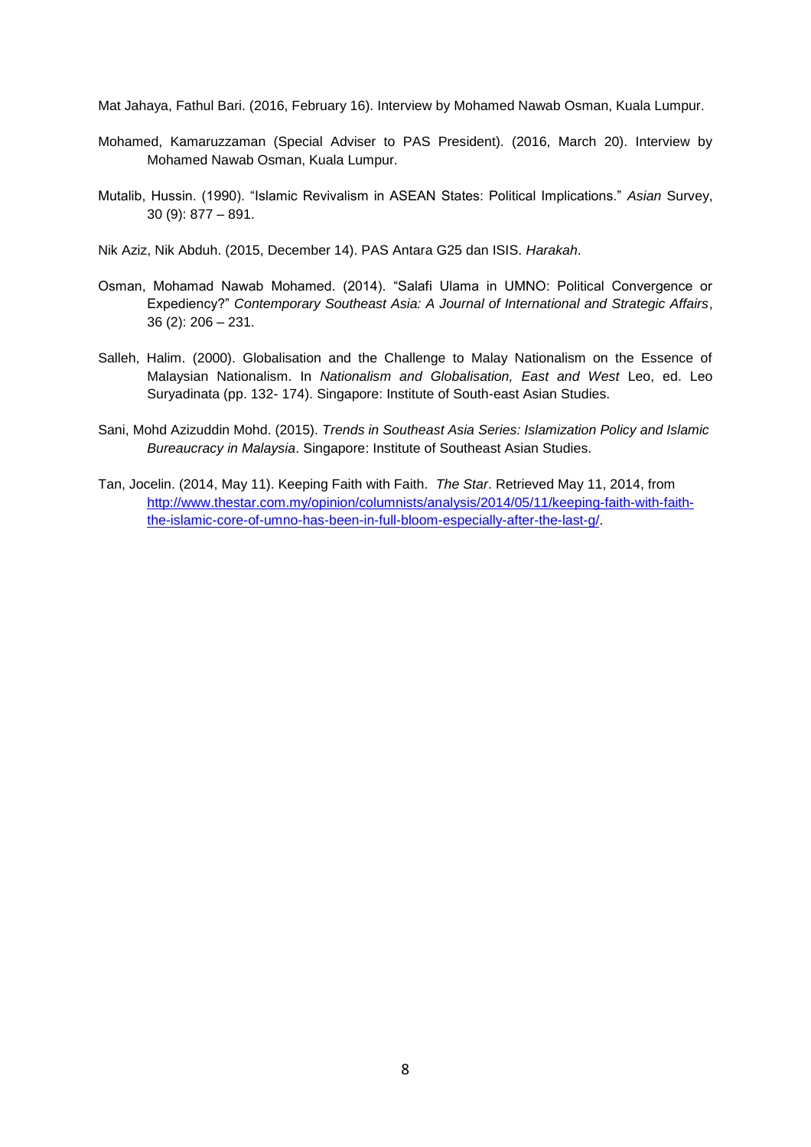Mat Jahaya, Fathul Bari. (2016, February 16). Interview by Mohamed Nawab Osman, Kuala Lumpur.

- Mohamed, Kamaruzzaman (Special Adviser to PAS President). (2016, March 20). Interview by Mohamed Nawab Osman, Kuala Lumpur.
- Mutalib, Hussin. (1990). "Islamic Revivalism in ASEAN States: Political Implications." *Asian* Survey, 30 (9): 877 – 891.

Nik Aziz, Nik Abduh. (2015, December 14). PAS Antara G25 dan ISIS. *Harakah*.

- Osman, Mohamad Nawab Mohamed. (2014). "Salafi Ulama in UMNO: Political Convergence or Expediency?" *Contemporary Southeast Asia: A Journal of International and Strategic Affairs*, 36 (2): 206 – 231.
- Salleh, Halim. (2000). Globalisation and the Challenge to Malay Nationalism on the Essence of Malaysian Nationalism. In *Nationalism and Globalisation, East and West* Leo, ed. Leo Suryadinata (pp. 132- 174). Singapore: Institute of South-east Asian Studies.
- Sani, Mohd Azizuddin Mohd. (2015). *Trends in Southeast Asia Series: Islamization Policy and Islamic Bureaucracy in Malaysia*. Singapore: Institute of Southeast Asian Studies.
- Tan, Jocelin. (2014, May 11). Keeping Faith with Faith. *The Star*. Retrieved May 11, 2014, from [http://www.thestar.com.my/opinion/columnists/analysis/2014/05/11/keeping-faith-with-faith](http://www.thestar.com.my/opinion/columnists/analysis/2014/05/11/keeping-faith-with-faith-the-islamic-core-of-umno-has-been-in-full-bloom-especially-after-the-last-g/)[the-islamic-core-of-umno-has-been-in-full-bloom-especially-after-the-last-g/.](http://www.thestar.com.my/opinion/columnists/analysis/2014/05/11/keeping-faith-with-faith-the-islamic-core-of-umno-has-been-in-full-bloom-especially-after-the-last-g/)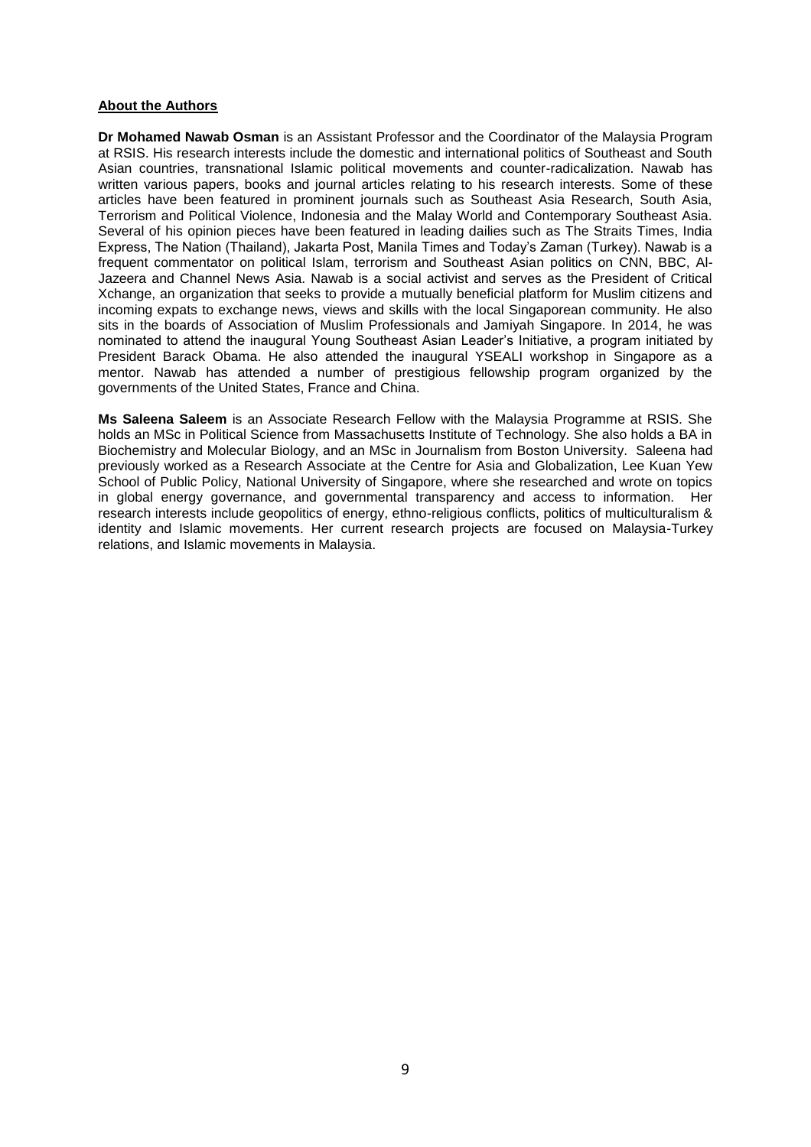#### **About the Authors**

**Dr Mohamed Nawab Osman** is an Assistant Professor and the Coordinator of the Malaysia Program at RSIS. His research interests include the domestic and international politics of Southeast and South Asian countries, transnational Islamic political movements and counter-radicalization. Nawab has written various papers, books and journal articles relating to his research interests. Some of these articles have been featured in prominent journals such as Southeast Asia Research, South Asia, Terrorism and Political Violence, Indonesia and the Malay World and Contemporary Southeast Asia. Several of his opinion pieces have been featured in leading dailies such as The Straits Times, India Express, The Nation (Thailand), Jakarta Post, Manila Times and Today's Zaman (Turkey). Nawab is a frequent commentator on political Islam, terrorism and Southeast Asian politics on CNN, BBC, Al-Jazeera and Channel News Asia. Nawab is a social activist and serves as the President of Critical Xchange, an organization that seeks to provide a mutually beneficial platform for Muslim citizens and incoming expats to exchange news, views and skills with the local Singaporean community. He also sits in the boards of Association of Muslim Professionals and Jamiyah Singapore. In 2014, he was nominated to attend the inaugural Young Southeast Asian Leader's Initiative, a program initiated by President Barack Obama. He also attended the inaugural YSEALI workshop in Singapore as a mentor. Nawab has attended a number of prestigious fellowship program organized by the governments of the United States, France and China.

**Ms Saleena Saleem** is an Associate Research Fellow with the Malaysia Programme at RSIS. She holds an MSc in Political Science from Massachusetts Institute of Technology. She also holds a BA in Biochemistry and Molecular Biology, and an MSc in Journalism from Boston University. Saleena had previously worked as a Research Associate at the Centre for Asia and Globalization, Lee Kuan Yew School of Public Policy, National University of Singapore, where she researched and wrote on topics in global energy governance, and governmental transparency and access to information. Her research interests include geopolitics of energy, ethno-religious conflicts, politics of multiculturalism & identity and Islamic movements. Her current research projects are focused on Malaysia-Turkey relations, and Islamic movements in Malaysia.